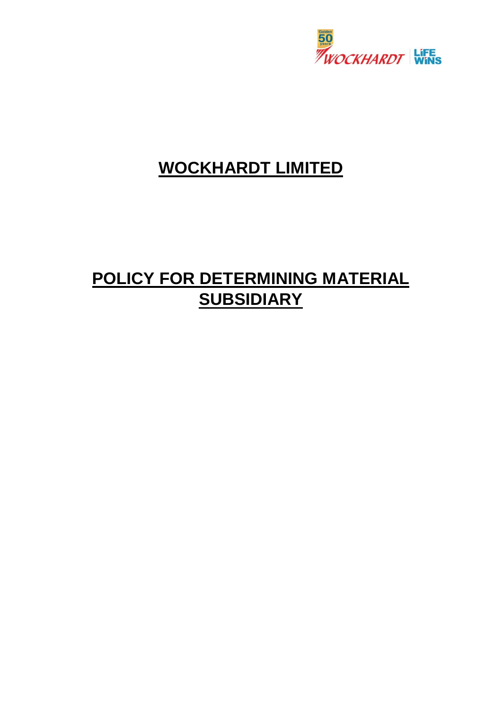

## **WOCKHARDT LIMITED**

# **POLICY FOR DETERMINING MATERIAL SUBSIDIARY**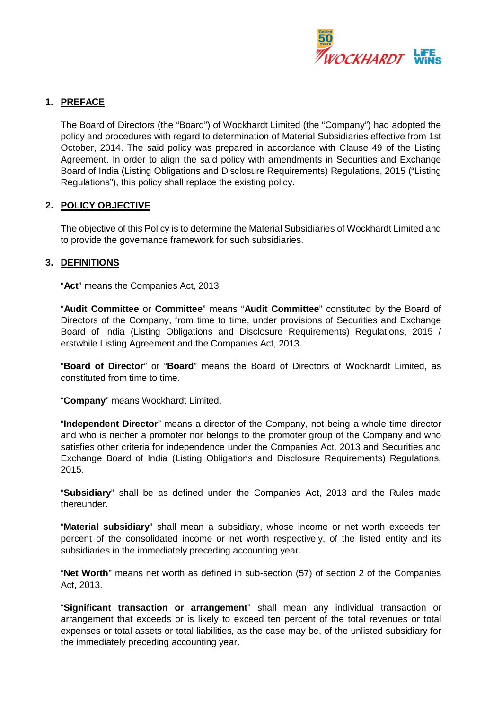

#### **1. PREFACE**

The Board of Directors (the "Board") of Wockhardt Limited (the "Company") had adopted the policy and procedures with regard to determination of Material Subsidiaries effective from 1st October, 2014. The said policy was prepared in accordance with Clause 49 of the Listing Agreement. In order to align the said policy with amendments in Securities and Exchange Board of India (Listing Obligations and Disclosure Requirements) Regulations, 2015 ("Listing Regulations"), this policy shall replace the existing policy.

#### **2. POLICY OBJECTIVE**

The objective of this Policy is to determine the Material Subsidiaries of Wockhardt Limited and to provide the governance framework for such subsidiaries.

#### **3. DEFINITIONS**

"**Act**" means the Companies Act, 2013

"**Audit Committee** or **Committee**" means "**Audit Committee**" constituted by the Board of Directors of the Company, from time to time, under provisions of Securities and Exchange Board of India (Listing Obligations and Disclosure Requirements) Regulations, 2015 / erstwhile Listing Agreement and the Companies Act, 2013.

"**Board of Director**" or "**Board**" means the Board of Directors of Wockhardt Limited, as constituted from time to time.

"**Company**" means Wockhardt Limited.

"**Independent Director**" means a director of the Company, not being a whole time director and who is neither a promoter nor belongs to the promoter group of the Company and who satisfies other criteria for independence under the Companies Act, 2013 and Securities and Exchange Board of India (Listing Obligations and Disclosure Requirements) Regulations, 2015.

"**Subsidiary**" shall be as defined under the Companies Act, 2013 and the Rules made thereunder.

"**Material subsidiary**" shall mean a subsidiary, whose income or net worth exceeds ten percent of the consolidated income or net worth respectively, of the listed entity and its subsidiaries in the immediately preceding accounting year.

"**Net Worth**" means net worth as defined in sub-section (57) of section 2 of the Companies Act, 2013.

"**Significant transaction or arrangement**" shall mean any individual transaction or arrangement that exceeds or is likely to exceed ten percent of the total revenues or total expenses or total assets or total liabilities, as the case may be, of the unlisted subsidiary for the immediately preceding accounting year.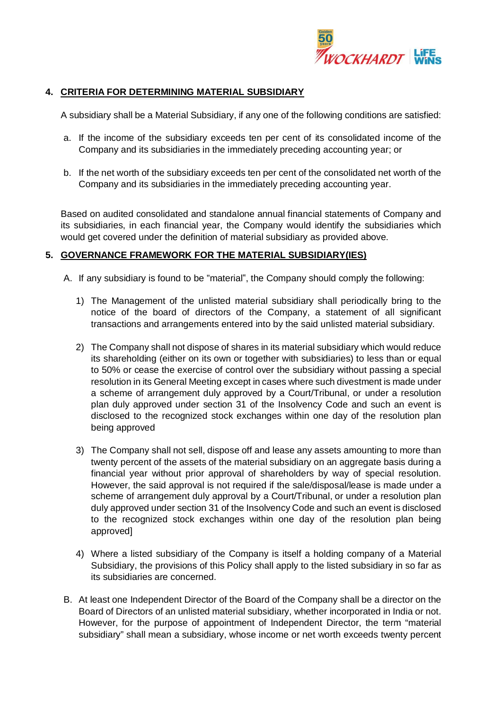

#### **4. CRITERIA FOR DETERMINING MATERIAL SUBSIDIARY**

A subsidiary shall be a Material Subsidiary, if any one of the following conditions are satisfied:

- a. If the income of the subsidiary exceeds ten per cent of its consolidated income of the Company and its subsidiaries in the immediately preceding accounting year; or
- b. If the net worth of the subsidiary exceeds ten per cent of the consolidated net worth of the Company and its subsidiaries in the immediately preceding accounting year.

Based on audited consolidated and standalone annual financial statements of Company and its subsidiaries, in each financial year, the Company would identify the subsidiaries which would get covered under the definition of material subsidiary as provided above.

#### **5. GOVERNANCE FRAMEWORK FOR THE MATERIAL SUBSIDIARY(IES)**

- A. If any subsidiary is found to be "material", the Company should comply the following:
	- 1) The Management of the unlisted material subsidiary shall periodically bring to the notice of the board of directors of the Company, a statement of all significant transactions and arrangements entered into by the said unlisted material subsidiary.
	- 2) The Company shall not dispose of shares in its material subsidiary which would reduce its shareholding (either on its own or together with subsidiaries) to less than or equal to 50% or cease the exercise of control over the subsidiary without passing a special resolution in its General Meeting except in cases where such divestment is made under a scheme of arrangement duly approved by a Court/Tribunal, or under a resolution plan duly approved under section 31 of the Insolvency Code and such an event is disclosed to the recognized stock exchanges within one day of the resolution plan being approved
	- 3) The Company shall not sell, dispose off and lease any assets amounting to more than twenty percent of the assets of the material subsidiary on an aggregate basis during a financial year without prior approval of shareholders by way of special resolution. However, the said approval is not required if the sale/disposal/lease is made under a scheme of arrangement duly approval by a Court/Tribunal, or under a resolution plan duly approved under section 31 of the Insolvency Code and such an event is disclosed to the recognized stock exchanges within one day of the resolution plan being approved]
	- 4) Where a listed subsidiary of the Company is itself a holding company of a Material Subsidiary, the provisions of this Policy shall apply to the listed subsidiary in so far as its subsidiaries are concerned.
- B. At least one Independent Director of the Board of the Company shall be a director on the Board of Directors of an unlisted material subsidiary, whether incorporated in India or not. However, for the purpose of appointment of Independent Director, the term "material subsidiary" shall mean a subsidiary, whose income or net worth exceeds twenty percent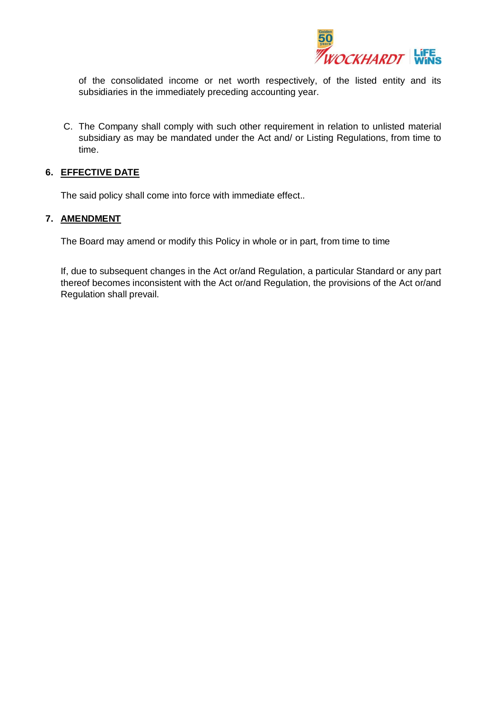

of the consolidated income or net worth respectively, of the listed entity and its subsidiaries in the immediately preceding accounting year.

C. The Company shall comply with such other requirement in relation to unlisted material subsidiary as may be mandated under the Act and/ or Listing Regulations, from time to time.

#### **6. EFFECTIVE DATE**

The said policy shall come into force with immediate effect..

#### **7. AMENDMENT**

The Board may amend or modify this Policy in whole or in part, from time to time

If, due to subsequent changes in the Act or/and Regulation, a particular Standard or any part thereof becomes inconsistent with the Act or/and Regulation, the provisions of the Act or/and Regulation shall prevail.